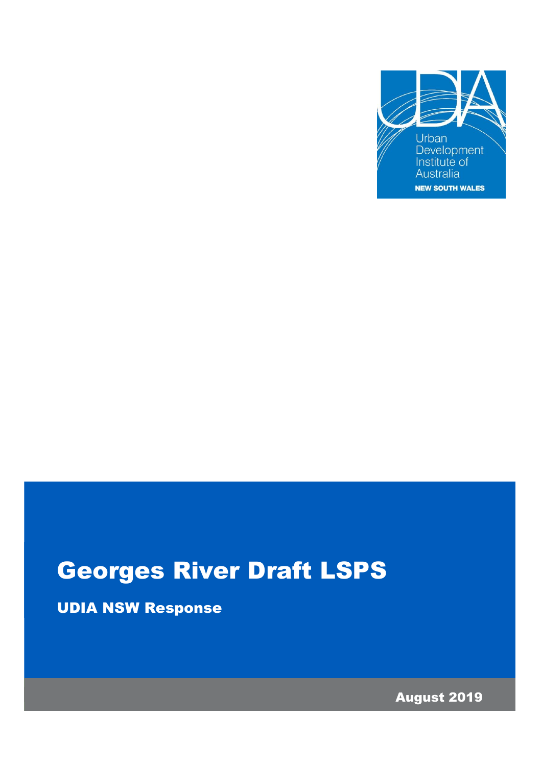

# Georges River Draft LSPS

UDIA NSW Response

August 2019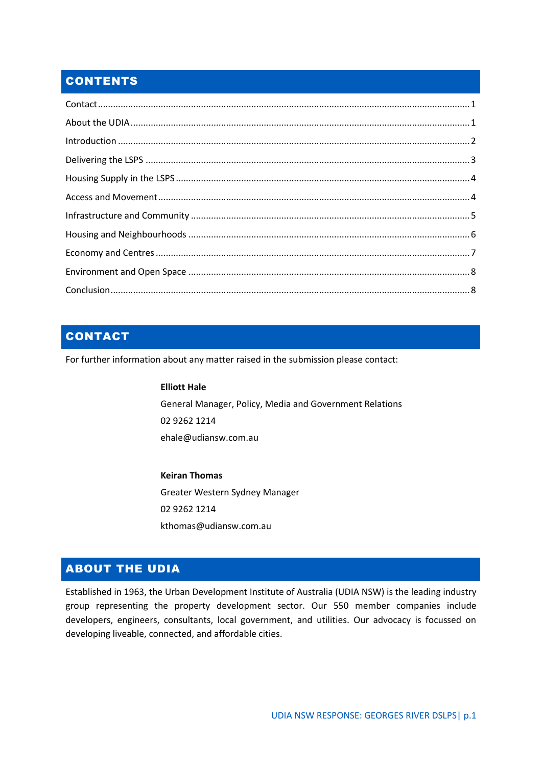# **CONTENTS**

| $\label{eq:interoduction} \mbox{Introduction} \,\, \ldots \,\, \ldots \,\, \ldots \,\, \ldots \,\, \ldots \,\, \ldots \,\, \ldots \,\, \ldots \,\, \ldots \,\, \ldots \,\, \ldots \,\, \ldots \,\, \ldots \,\, \ldots \,\, \ldots \,\, \ldots \,\, \ldots \,\, \ldots \,\, \ldots \,\, \ldots \,\, \ldots \,\, \ldots \,\, \ldots \,\, \ldots \,\, \ldots \,\, \ldots \,\, \ldots \,\, \ldots \,\, \ldots \,\, \ldots \,\, \ldots \,\, \ldots \,\, \ldots \,\, \ldots \$ |  |
|--------------------------------------------------------------------------------------------------------------------------------------------------------------------------------------------------------------------------------------------------------------------------------------------------------------------------------------------------------------------------------------------------------------------------------------------------------------------------|--|
|                                                                                                                                                                                                                                                                                                                                                                                                                                                                          |  |
|                                                                                                                                                                                                                                                                                                                                                                                                                                                                          |  |
|                                                                                                                                                                                                                                                                                                                                                                                                                                                                          |  |
|                                                                                                                                                                                                                                                                                                                                                                                                                                                                          |  |
|                                                                                                                                                                                                                                                                                                                                                                                                                                                                          |  |
|                                                                                                                                                                                                                                                                                                                                                                                                                                                                          |  |
|                                                                                                                                                                                                                                                                                                                                                                                                                                                                          |  |
|                                                                                                                                                                                                                                                                                                                                                                                                                                                                          |  |

# <span id="page-1-0"></span>CONTACT

For further information about any matter raised in the submission please contact:

#### **Elliott Hale**

General Manager, Policy, Media and Government Relations 02 9262 1214 ehale@udiansw.com.au

**Keiran Thomas** Greater Western Sydney Manager 02 9262 1214 kthomas@udiansw.com.au

# <span id="page-1-1"></span>ABOUT THE UDIA

Established in 1963, the Urban Development Institute of Australia (UDIA NSW) is the leading industry group representing the property development sector. Our 550 member companies include developers, engineers, consultants, local government, and utilities. Our advocacy is focussed on developing liveable, connected, and affordable cities.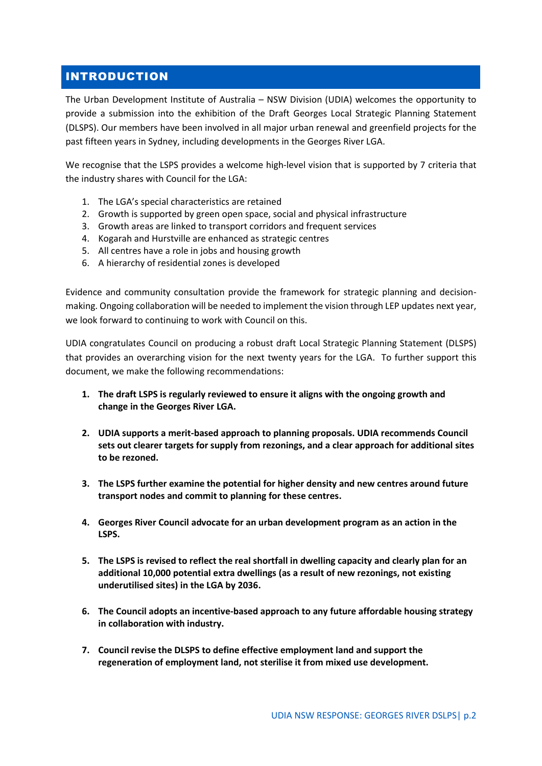# <span id="page-2-0"></span>INTRODUCTION

The Urban Development Institute of Australia – NSW Division (UDIA) welcomes the opportunity to provide a submission into the exhibition of the Draft Georges Local Strategic Planning Statement (DLSPS). Our members have been involved in all major urban renewal and greenfield projects for the past fifteen years in Sydney, including developments in the Georges River LGA.

We recognise that the LSPS provides a welcome high-level vision that is supported by 7 criteria that the industry shares with Council for the LGA:

- 1. The LGA's special characteristics are retained
- 2. Growth is supported by green open space, social and physical infrastructure
- 3. Growth areas are linked to transport corridors and frequent services
- 4. Kogarah and Hurstville are enhanced as strategic centres
- 5. All centres have a role in jobs and housing growth
- 6. A hierarchy of residential zones is developed

Evidence and community consultation provide the framework for strategic planning and decisionmaking. Ongoing collaboration will be needed to implement the vision through LEP updates next year, we look forward to continuing to work with Council on this.

UDIA congratulates Council on producing a robust draft Local Strategic Planning Statement (DLSPS) that provides an overarching vision for the next twenty years for the LGA. To further support this document, we make the following recommendations:

- **1. The draft LSPS is regularly reviewed to ensure it aligns with the ongoing growth and change in the Georges River LGA.**
- **2. UDIA supports a merit-based approach to planning proposals. UDIA recommends Council sets out clearer targets for supply from rezonings, and a clear approach for additional sites to be rezoned.**
- **3. The LSPS further examine the potential for higher density and new centres around future transport nodes and commit to planning for these centres.**
- **4. Georges River Council advocate for an urban development program as an action in the LSPS.**
- **5. The LSPS is revised to reflect the real shortfall in dwelling capacity and clearly plan for an additional 10,000 potential extra dwellings (as a result of new rezonings, not existing underutilised sites) in the LGA by 2036.**
- **6. The Council adopts an incentive-based approach to any future affordable housing strategy in collaboration with industry.**
- **7. Council revise the DLSPS to define effective employment land and support the regeneration of employment land, not sterilise it from mixed use development.**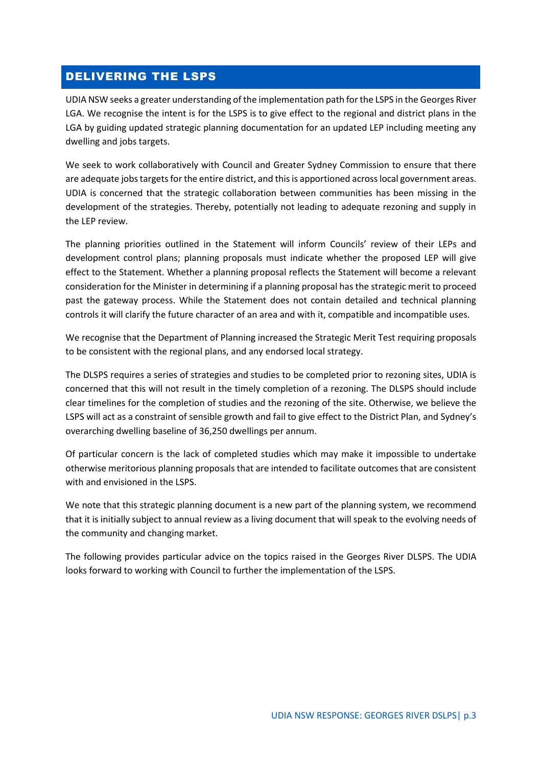#### <span id="page-3-0"></span>DELIVERING THE LSPS

UDIA NSW seeks a greater understanding of the implementation path for the LSPS in the Georges River LGA. We recognise the intent is for the LSPS is to give effect to the regional and district plans in the LGA by guiding updated strategic planning documentation for an updated LEP including meeting any dwelling and jobs targets.

We seek to work collaboratively with Council and Greater Sydney Commission to ensure that there are adequate jobs targets for the entire district, and this is apportioned across local government areas. UDIA is concerned that the strategic collaboration between communities has been missing in the development of the strategies. Thereby, potentially not leading to adequate rezoning and supply in the LEP review.

The planning priorities outlined in the Statement will inform Councils' review of their LEPs and development control plans; planning proposals must indicate whether the proposed LEP will give effect to the Statement. Whether a planning proposal reflects the Statement will become a relevant consideration for the Minister in determining if a planning proposal has the strategic merit to proceed past the gateway process. While the Statement does not contain detailed and technical planning controls it will clarify the future character of an area and with it, compatible and incompatible uses.

We recognise that the Department of Planning increased the Strategic Merit Test requiring proposals to be consistent with the regional plans, and any endorsed local strategy.

The DLSPS requires a series of strategies and studies to be completed prior to rezoning sites, UDIA is concerned that this will not result in the timely completion of a rezoning. The DLSPS should include clear timelines for the completion of studies and the rezoning of the site. Otherwise, we believe the LSPS will act as a constraint of sensible growth and fail to give effect to the District Plan, and Sydney's overarching dwelling baseline of 36,250 dwellings per annum.

Of particular concern is the lack of completed studies which may make it impossible to undertake otherwise meritorious planning proposals that are intended to facilitate outcomes that are consistent with and envisioned in the LSPS.

We note that this strategic planning document is a new part of the planning system, we recommend that it is initially subject to annual review as a living document that will speak to the evolving needs of the community and changing market.

The following provides particular advice on the topics raised in the Georges River DLSPS. The UDIA looks forward to working with Council to further the implementation of the LSPS.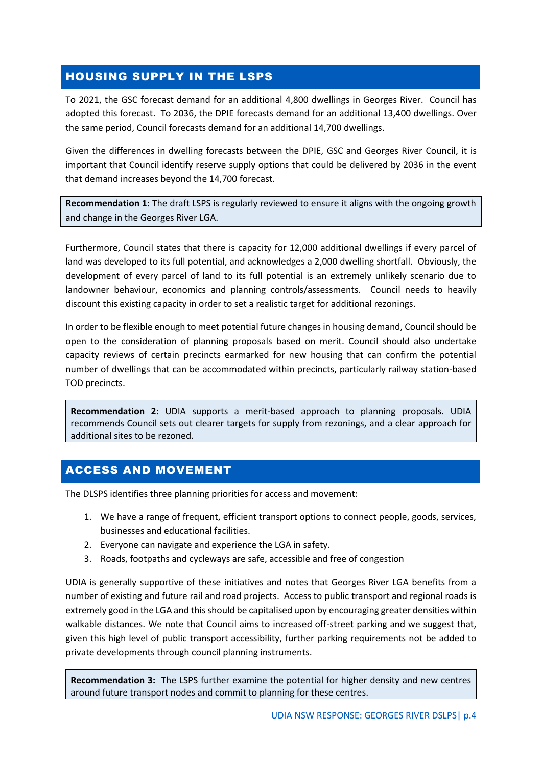# <span id="page-4-0"></span>HOUSING SUPPLY IN THE LSPS

To 2021, the GSC forecast demand for an additional 4,800 dwellings in Georges River. Council has adopted this forecast. To 2036, the DPIE forecasts demand for an additional 13,400 dwellings. Over the same period, Council forecasts demand for an additional 14,700 dwellings.

Given the differences in dwelling forecasts between the DPIE, GSC and Georges River Council, it is important that Council identify reserve supply options that could be delivered by 2036 in the event that demand increases beyond the 14,700 forecast.

**Recommendation 1:** The draft LSPS is regularly reviewed to ensure it aligns with the ongoing growth and change in the Georges River LGA.

Furthermore, Council states that there is capacity for 12,000 additional dwellings if every parcel of land was developed to its full potential, and acknowledges a 2,000 dwelling shortfall. Obviously, the development of every parcel of land to its full potential is an extremely unlikely scenario due to landowner behaviour, economics and planning controls/assessments. Council needs to heavily discount this existing capacity in order to set a realistic target for additional rezonings.

In order to be flexible enough to meet potential future changes in housing demand, Council should be open to the consideration of planning proposals based on merit. Council should also undertake capacity reviews of certain precincts earmarked for new housing that can confirm the potential number of dwellings that can be accommodated within precincts, particularly railway station-based TOD precincts.

**Recommendation 2:** UDIA supports a merit-based approach to planning proposals. UDIA recommends Council sets out clearer targets for supply from rezonings, and a clear approach for additional sites to be rezoned.

# <span id="page-4-1"></span>ACCESS AND MOVEMENT

The DLSPS identifies three planning priorities for access and movement:

- 1. We have a range of frequent, efficient transport options to connect people, goods, services, businesses and educational facilities.
- 2. Everyone can navigate and experience the LGA in safety.
- 3. Roads, footpaths and cycleways are safe, accessible and free of congestion

UDIA is generally supportive of these initiatives and notes that Georges River LGA benefits from a number of existing and future rail and road projects. Access to public transport and regional roads is extremely good in the LGA and this should be capitalised upon by encouraging greater densities within walkable distances. We note that Council aims to increased off-street parking and we suggest that, given this high level of public transport accessibility, further parking requirements not be added to private developments through council planning instruments.

**Recommendation 3:** The LSPS further examine the potential for higher density and new centres around future transport nodes and commit to planning for these centres.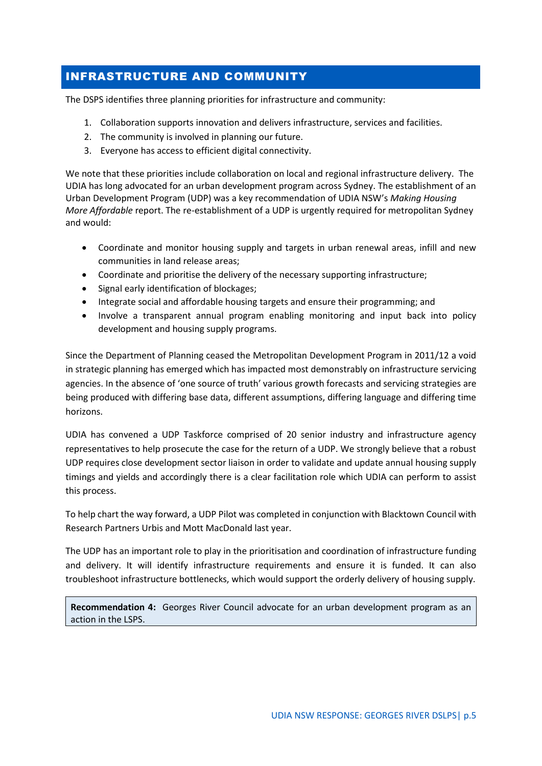# <span id="page-5-0"></span>INFRASTRUCTURE AND COMMUNITY

The DSPS identifies three planning priorities for infrastructure and community:

- 1. Collaboration supports innovation and delivers infrastructure, services and facilities.
- 2. The community is involved in planning our future.
- 3. Everyone has access to efficient digital connectivity.

We note that these priorities include collaboration on local and regional infrastructure delivery. The UDIA has long advocated for an urban development program across Sydney. The establishment of an Urban Development Program (UDP) was a key recommendation of UDIA NSW's *Making Housing More Affordable* report. The re-establishment of a UDP is urgently required for metropolitan Sydney and would:

- Coordinate and monitor housing supply and targets in urban renewal areas, infill and new communities in land release areas;
- Coordinate and prioritise the delivery of the necessary supporting infrastructure;
- Signal early identification of blockages;
- Integrate social and affordable housing targets and ensure their programming; and
- Involve a transparent annual program enabling monitoring and input back into policy development and housing supply programs.

Since the Department of Planning ceased the Metropolitan Development Program in 2011/12 a void in strategic planning has emerged which has impacted most demonstrably on infrastructure servicing agencies. In the absence of 'one source of truth' various growth forecasts and servicing strategies are being produced with differing base data, different assumptions, differing language and differing time horizons.

UDIA has convened a UDP Taskforce comprised of 20 senior industry and infrastructure agency representatives to help prosecute the case for the return of a UDP. We strongly believe that a robust UDP requires close development sector liaison in order to validate and update annual housing supply timings and yields and accordingly there is a clear facilitation role which UDIA can perform to assist this process.

To help chart the way forward, a UDP Pilot was completed in conjunction with Blacktown Council with Research Partners Urbis and Mott MacDonald last year.

The UDP has an important role to play in the prioritisation and coordination of infrastructure funding and delivery. It will identify infrastructure requirements and ensure it is funded. It can also troubleshoot infrastructure bottlenecks, which would support the orderly delivery of housing supply.

**Recommendation 4:** Georges River Council advocate for an urban development program as an action in the LSPS.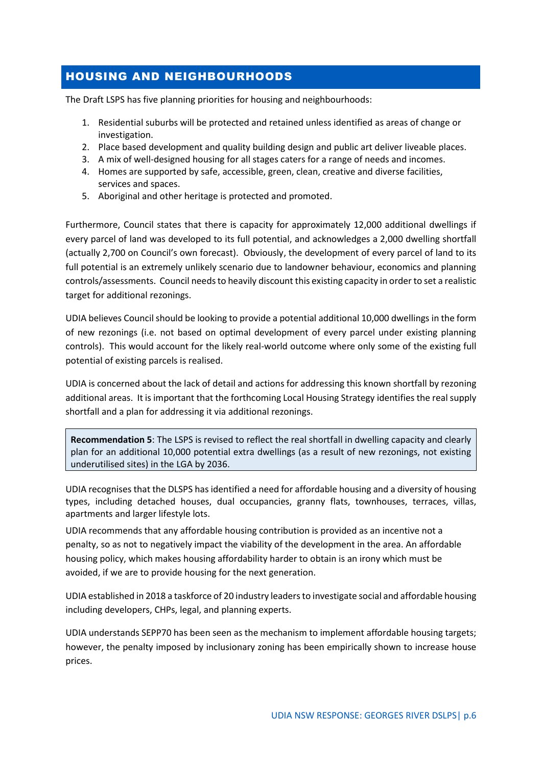# <span id="page-6-0"></span>HOUSING AND NEIGHBOURHOODS

The Draft LSPS has five planning priorities for housing and neighbourhoods:

- 1. Residential suburbs will be protected and retained unless identified as areas of change or investigation.
- 2. Place based development and quality building design and public art deliver liveable places.
- 3. A mix of well-designed housing for all stages caters for a range of needs and incomes.
- 4. Homes are supported by safe, accessible, green, clean, creative and diverse facilities, services and spaces.
- 5. Aboriginal and other heritage is protected and promoted.

Furthermore, Council states that there is capacity for approximately 12,000 additional dwellings if every parcel of land was developed to its full potential, and acknowledges a 2,000 dwelling shortfall (actually 2,700 on Council's own forecast). Obviously, the development of every parcel of land to its full potential is an extremely unlikely scenario due to landowner behaviour, economics and planning controls/assessments. Council needs to heavily discount this existing capacity in order to set a realistic target for additional rezonings.

UDIA believes Council should be looking to provide a potential additional 10,000 dwellings in the form of new rezonings (i.e. not based on optimal development of every parcel under existing planning controls). This would account for the likely real-world outcome where only some of the existing full potential of existing parcels is realised.

UDIA is concerned about the lack of detail and actions for addressing this known shortfall by rezoning additional areas. It is important that the forthcoming Local Housing Strategy identifies the real supply shortfall and a plan for addressing it via additional rezonings.

**Recommendation 5**: The LSPS is revised to reflect the real shortfall in dwelling capacity and clearly plan for an additional 10,000 potential extra dwellings (as a result of new rezonings, not existing underutilised sites) in the LGA by 2036.

UDIA recognises that the DLSPS has identified a need for affordable housing and a diversity of housing types, including detached houses, dual occupancies, granny flats, townhouses, terraces, villas, apartments and larger lifestyle lots.

UDIA recommends that any affordable housing contribution is provided as an incentive not a penalty, so as not to negatively impact the viability of the development in the area. An affordable housing policy, which makes housing affordability harder to obtain is an irony which must be avoided, if we are to provide housing for the next generation.

UDIA established in 2018 a taskforce of 20 industry leaders to investigate social and affordable housing including developers, CHPs, legal, and planning experts.

UDIA understands SEPP70 has been seen as the mechanism to implement affordable housing targets; however, the penalty imposed by inclusionary zoning has been empirically shown to increase house prices.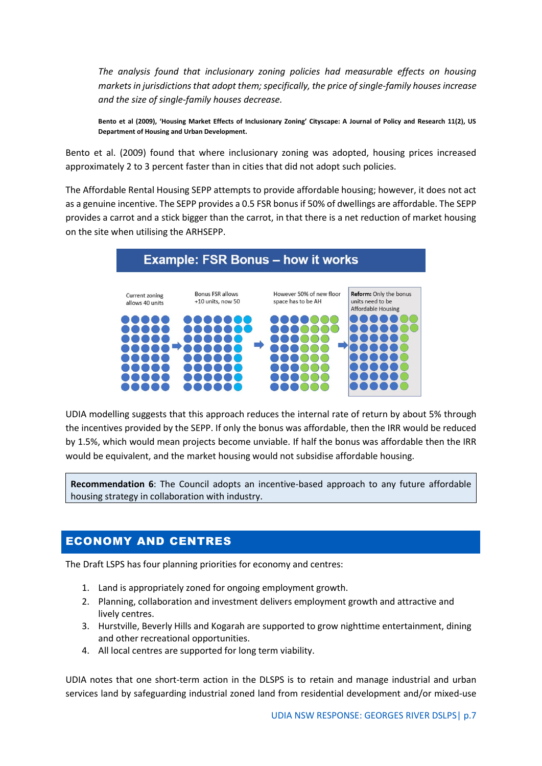*The analysis found that inclusionary zoning policies had measurable effects on housing markets in jurisdictions that adopt them; specifically, the price of single-family houses increase and the size of single-family houses decrease.* 

**Bento et al (2009), 'Housing Market Effects of Inclusionary Zoning' Cityscape: A Journal of Policy and Research 11(2), US Department of Housing and Urban Development.** 

Bento et al. (2009) found that where inclusionary zoning was adopted, housing prices increased approximately 2 to 3 percent faster than in cities that did not adopt such policies.

The Affordable Rental Housing SEPP attempts to provide affordable housing; however, it does not act as a genuine incentive. The SEPP provides a 0.5 FSR bonus if 50% of dwellings are affordable. The SEPP provides a carrot and a stick bigger than the carrot, in that there is a net reduction of market housing on the site when utilising the ARHSEPP.



UDIA modelling suggests that this approach reduces the internal rate of return by about 5% through the incentives provided by the SEPP. If only the bonus was affordable, then the IRR would be reduced by 1.5%, which would mean projects become unviable. If half the bonus was affordable then the IRR would be equivalent, and the market housing would not subsidise affordable housing.

**Recommendation 6**: The Council adopts an incentive-based approach to any future affordable housing strategy in collaboration with industry.

# <span id="page-7-0"></span>ECONOMY AND CENTRES

The Draft LSPS has four planning priorities for economy and centres:

- 1. Land is appropriately zoned for ongoing employment growth.
- 2. Planning, collaboration and investment delivers employment growth and attractive and lively centres.
- 3. Hurstville, Beverly Hills and Kogarah are supported to grow nighttime entertainment, dining and other recreational opportunities.
- 4. All local centres are supported for long term viability.

UDIA notes that one short-term action in the DLSPS is to retain and manage industrial and urban services land by safeguarding industrial zoned land from residential development and/or mixed-use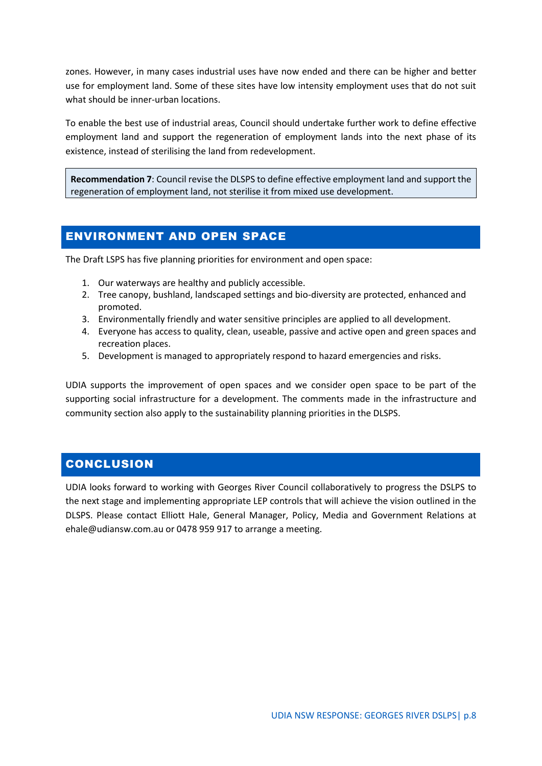zones. However, in many cases industrial uses have now ended and there can be higher and better use for employment land. Some of these sites have low intensity employment uses that do not suit what should be inner-urban locations.

To enable the best use of industrial areas, Council should undertake further work to define effective employment land and support the regeneration of employment lands into the next phase of its existence, instead of sterilising the land from redevelopment.

**Recommendation 7**: Council revise the DLSPS to define effective employment land and support the regeneration of employment land, not sterilise it from mixed use development.

# <span id="page-8-0"></span>ENVIRONMENT AND OPEN SPACE

The Draft LSPS has five planning priorities for environment and open space:

- 1. Our waterways are healthy and publicly accessible.
- 2. Tree canopy, bushland, landscaped settings and bio-diversity are protected, enhanced and promoted.
- 3. Environmentally friendly and water sensitive principles are applied to all development.
- 4. Everyone has access to quality, clean, useable, passive and active open and green spaces and recreation places.
- 5. Development is managed to appropriately respond to hazard emergencies and risks.

UDIA supports the improvement of open spaces and we consider open space to be part of the supporting social infrastructure for a development. The comments made in the infrastructure and community section also apply to the sustainability planning priorities in the DLSPS.

# <span id="page-8-1"></span>**CONCLUSION**

UDIA looks forward to working with Georges River Council collaboratively to progress the DSLPS to the next stage and implementing appropriate LEP controls that will achieve the vision outlined in the DLSPS. Please contact Elliott Hale, General Manager, Policy, Media and Government Relations at ehale@udiansw.com.au or 0478 959 917 to arrange a meeting.